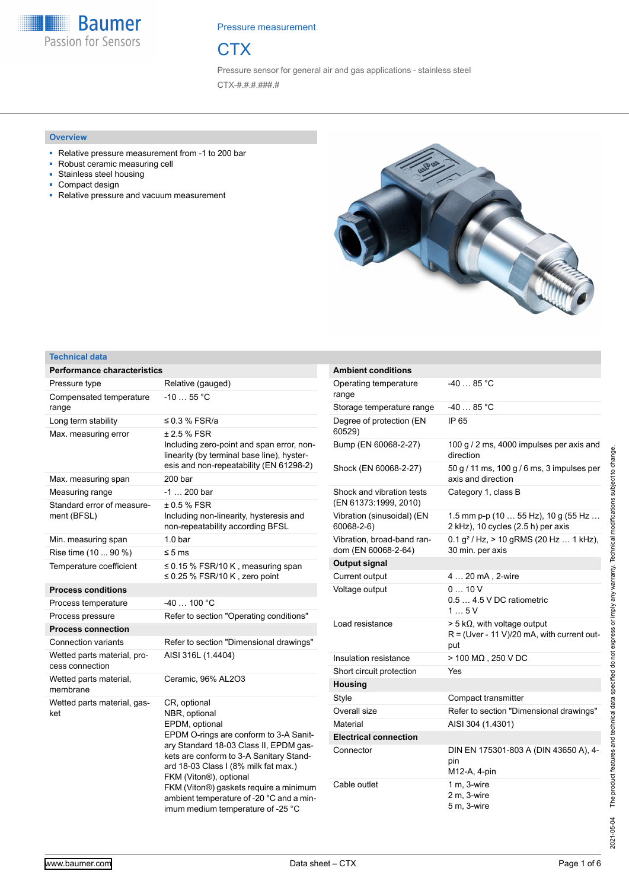**Baumer** Passion for Sensors

Pressure measurement



Pressure sensor for general air and gas applications - stainless steel CTX-#.#.#.###.#

## **Overview**

- Relative pressure measurement from -1 to 200 bar
- Robust ceramic measuring cell
- Stainless steel housing
- Compact design
- Relative pressure and vacuum measurement



## **Technical data**

| <b>Performance characteristics</b>             |                                                                                                                                                                                                                                                                                                                                                                             |
|------------------------------------------------|-----------------------------------------------------------------------------------------------------------------------------------------------------------------------------------------------------------------------------------------------------------------------------------------------------------------------------------------------------------------------------|
| Pressure type                                  | Relative (gauged)                                                                                                                                                                                                                                                                                                                                                           |
| Compensated temperature<br>range               | $-1055$ °C                                                                                                                                                                                                                                                                                                                                                                  |
| Long term stability                            | ≤ 0.3 % FSR/a                                                                                                                                                                                                                                                                                                                                                               |
| Max. measuring error                           | ± 2.5 % FSR<br>Including zero-point and span error, non-<br>linearity (by terminal base line), hyster-<br>esis and non-repeatability (EN 61298-2)                                                                                                                                                                                                                           |
| Max. measuring span                            | 200 bar                                                                                                                                                                                                                                                                                                                                                                     |
| Measuring range                                | -1  200 bar                                                                                                                                                                                                                                                                                                                                                                 |
| Standard error of measure-<br>ment (BFSL)      | ± 0.5 % FSR<br>Including non-linearity, hysteresis and<br>non-repeatability according BFSL                                                                                                                                                                                                                                                                                  |
| Min. measuring span                            | 1.0 <sub>bar</sub>                                                                                                                                                                                                                                                                                                                                                          |
| Rise time (10  90 %)                           | $\leq 5$ ms                                                                                                                                                                                                                                                                                                                                                                 |
| Temperature coefficient                        | $\leq$ 0.15 % FSR/10 K, measuring span<br>$\leq$ 0.25 % FSR/10 K, zero point                                                                                                                                                                                                                                                                                                |
| <b>Process conditions</b>                      |                                                                                                                                                                                                                                                                                                                                                                             |
| Process temperature                            | $-40100 °C$                                                                                                                                                                                                                                                                                                                                                                 |
| Process pressure                               | Refer to section "Operating conditions"                                                                                                                                                                                                                                                                                                                                     |
| <b>Process connection</b>                      |                                                                                                                                                                                                                                                                                                                                                                             |
| <b>Connection variants</b>                     | Refer to section "Dimensional drawings"                                                                                                                                                                                                                                                                                                                                     |
| Wetted parts material, pro-<br>cess connection | AISI 316L (1.4404)                                                                                                                                                                                                                                                                                                                                                          |
| Wetted parts material,<br>membrane             | Ceramic, 96% AL2O3                                                                                                                                                                                                                                                                                                                                                          |
| Wetted parts material, gas-<br>ket             | CR, optional<br>NBR, optional<br>EPDM, optional<br>EPDM O-rings are conform to 3-A Sanit-<br>ary Standard 18-03 Class II, EPDM gas-<br>kets are conform to 3-A Sanitary Stand-<br>ard 18-03 Class I (8% milk fat max.)<br>FKM (Viton®), optional<br>FKM (Viton®) gaskets require a minimum<br>ambient temperature of -20 °C and a min-<br>imum medium temperature of -25 °C |

| <b>Ambient conditions</b>                          |                                                                                               |
|----------------------------------------------------|-----------------------------------------------------------------------------------------------|
| Operating temperature<br>range                     | $-4085 °C$                                                                                    |
| Storage temperature range                          | $-4085 °C$                                                                                    |
| Degree of protection (EN<br>60529)                 | IP 65                                                                                         |
| Bump (EN 60068-2-27)                               | 100 g / 2 ms, 4000 impulses per axis and<br>direction                                         |
| Shock (EN 60068-2-27)                              | 50 g / 11 ms, 100 g / 6 ms, 3 impulses per<br>axis and direction                              |
| Shock and vibration tests<br>(EN 61373:1999, 2010) | Category 1, class B                                                                           |
| Vibration (sinusoidal) (EN<br>60068-2-6)           | 1.5 mm p-p (10 $\dots$ 55 Hz), 10 g (55 Hz $\dots$<br>2 kHz), 10 cycles (2.5 h) per axis      |
| Vibration, broad-band ran-<br>dom (EN 60068-2-64)  | $0.1 g2$ / Hz, > 10 gRMS (20 Hz  1 kHz),<br>30 min. per axis                                  |
| Output signal                                      |                                                                                               |
| Current output                                     | 4  20 mA, 2-wire                                                                              |
| Voltage output                                     | 010V<br>$0.5$ 4.5 V DC ratiometric<br>15V                                                     |
| Load resistance                                    | $>$ 5 k $\Omega$ , with voltage output<br>$R = (Uver - 11 V)/20$ mA, with current out-<br>put |
| Insulation resistance                              | $>$ 100 M $\Omega$ , 250 V DC                                                                 |
| Short circuit protection                           | Yes                                                                                           |
| <b>Housing</b>                                     |                                                                                               |
| Style                                              | Compact transmitter                                                                           |
| Overall size                                       | Refer to section "Dimensional drawings"                                                       |
| Material                                           | AISI 304 (1.4301)                                                                             |
| <b>Electrical connection</b>                       |                                                                                               |
| Connector                                          | DIN EN 175301-803 A (DIN 43650 A), 4-<br>pin<br>M12-A, 4-pin                                  |
| Cable outlet                                       | $1 m. 3-wire$<br>2 m. 3-wire<br>5 m, 3-wire                                                   |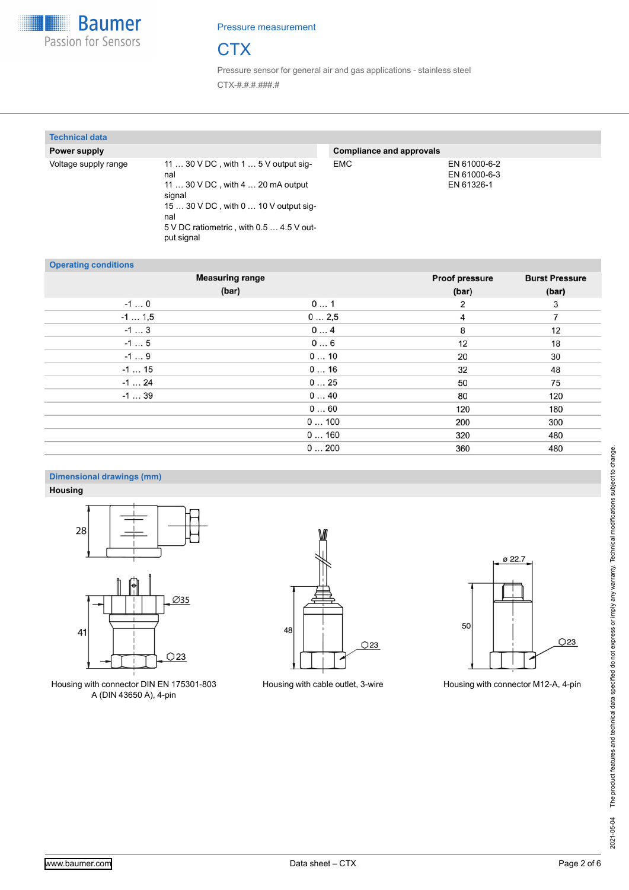



Pressure sensor for general air and gas applications - stainless steel CTX-#.#.#.###.#

| <b>Technical data</b> |                                                                                                                                                                                                                    |                                 |                                            |
|-----------------------|--------------------------------------------------------------------------------------------------------------------------------------------------------------------------------------------------------------------|---------------------------------|--------------------------------------------|
| Power supply          |                                                                                                                                                                                                                    | <b>Compliance and approvals</b> |                                            |
| Voltage supply range  | 11 $\dots$ 30 V DC, with 1 $\dots$ 5 V output sig-<br>nal<br>11  30 V DC, with 4  20 mA output<br>signal<br>$1530$ V DC, with $010$ V output sig-<br>nal<br>5 V DC ratiometric, with 0.5  4.5 V out-<br>put signal | <b>EMC</b>                      | EN 61000-6-2<br>EN 61000-6-3<br>EN 61326-1 |

#### **Operating conditions**

| <b>Operating conditions</b> | <b>Measuring range</b> | <b>Proof pressure</b> | <b>Burst Pressure</b> |
|-----------------------------|------------------------|-----------------------|-----------------------|
|                             |                        |                       |                       |
|                             | (bar)                  | (bar)                 | (bar)                 |
| $-10$                       | 01                     | 2                     | 3                     |
| $-1$ 1,5                    | 02,5                   | 4                     | $\overline{ }$        |
| $-13$                       | 04                     | 8                     | 12                    |
| $-15$                       | 06                     | 12                    | 18                    |
| $-19$                       | 010                    | 20                    | 30                    |
| $-115$                      | 016                    | 32                    | 48                    |
| $-124$                      | 025                    | 50                    | 75                    |
| $-139$                      | 040                    | 80                    | 120                   |
|                             | 060                    | 120                   | 180                   |
|                             | 0100                   | 200                   | 300                   |
|                             | 0160                   | 320                   | 480                   |
|                             | 0200                   | 360                   | 480                   |

## **Dimensional drawings (mm)**

**Housing**



Housing with connector DIN EN 175301-803 A (DIN 43650 A), 4-pin





Housing with cable outlet, 3-wire Housing with connector M12-A, 4-pin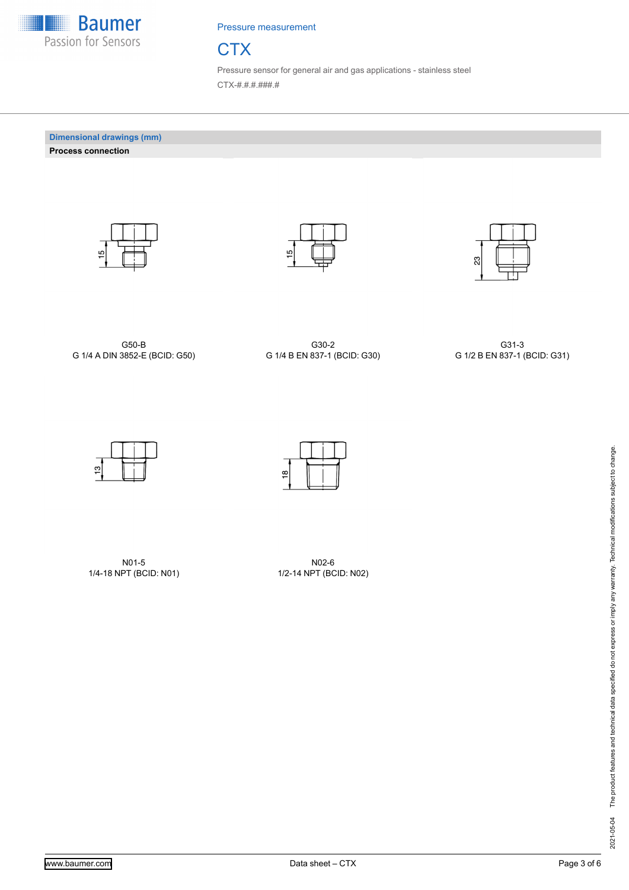



Pressure sensor for general air and gas applications - stainless steel CTX-#.#.#.###.#

**Dimensional drawings (mm) Process connection**







G50-B G 1/4 A DIN 3852-E (BCID: G50)

G30-2 G 1/4 B EN 837-1 (BCID: G30)

G31-3 G 1/2 B EN 837-1 (BCID: G31)



N01-5 1/4-18 NPT (BCID: N01)

N02-6 1/2-14 NPT (BCID: N02)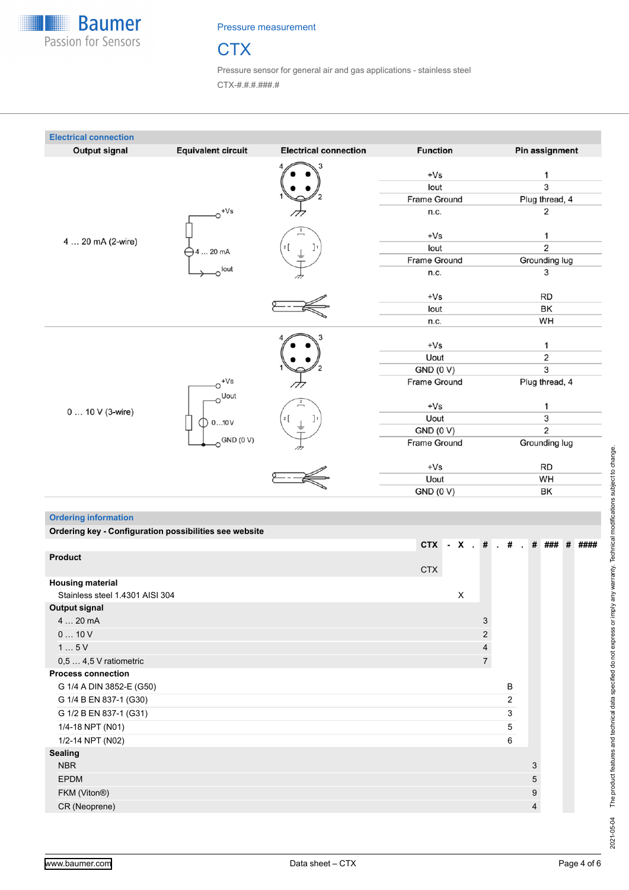

# **CTX**

Pressure sensor for general air and gas applications - stainless steel CTX-#.#.#.###.#

| <b>Output signal</b> | <b>Equivalent circuit</b> | <b>Electrical connection</b> | <b>Function</b>     | Pin assignment          |
|----------------------|---------------------------|------------------------------|---------------------|-------------------------|
|                      |                           |                              | $+Vs$               | 1                       |
|                      |                           |                              | lout                | 3                       |
|                      |                           |                              | <b>Frame Ground</b> | Plug thread, 4          |
|                      | $\mathrm{e}^{tVs}$        |                              | n.c.                | 2                       |
|                      |                           |                              | $+Vs$               | 1                       |
| 4  20 mA (2-wire)    | 4  20 mA                  | 2                            | lout                | $\overline{2}$          |
|                      |                           |                              | <b>Frame Ground</b> | Grounding lug           |
|                      | o <sup>lout</sup>         |                              | n.c.                | 3                       |
|                      |                           |                              | $+Vs$               | <b>RD</b>               |
|                      |                           |                              | lout                | BK                      |
|                      |                           |                              | n.c.                | WH                      |
|                      |                           |                              |                     |                         |
|                      |                           |                              | $+Vs$               | 1                       |
|                      |                           |                              | Uout                | $\overline{\mathbf{c}}$ |
|                      |                           |                              | <b>GND (0 V)</b>    | $\overline{3}$          |
|                      | $+Vs$                     |                              | <b>Frame Ground</b> | Plug thread, 4          |
|                      | oUout                     |                              | $+Vs$               | 1                       |
| 0  10 V (3-wire)     | 010V                      | J۱<br>2                      | Uout                | 3                       |
|                      |                           |                              | <b>GND (0 V)</b>    | $\overline{2}$          |
|                      | $O$ GND (0 V)             |                              | <b>Frame Ground</b> | Grounding lug           |
|                      |                           |                              | $+Vs$               | <b>RD</b>               |
|                      |                           |                              | Uout                | WH                      |
|                      |                           |                              | <b>GND (0 V)</b>    | BK                      |

| <b>Ordering information</b>                            |                                                       |  |   |                |                |   |  |  |
|--------------------------------------------------------|-------------------------------------------------------|--|---|----------------|----------------|---|--|--|
| Ordering key - Configuration possibilities see website |                                                       |  |   |                |                |   |  |  |
|                                                        | CTX - X $\pm$ # $\pm$ # $\pm$ # $\pm$ ### $\pm$ ##### |  |   |                |                |   |  |  |
| <b>Product</b>                                         |                                                       |  |   |                |                |   |  |  |
|                                                        | <b>CTX</b>                                            |  |   |                |                |   |  |  |
| <b>Housing material</b>                                |                                                       |  |   |                |                |   |  |  |
| Stainless steel 1.4301 AISI 304                        |                                                       |  | X |                |                |   |  |  |
| <b>Output signal</b>                                   |                                                       |  |   |                |                |   |  |  |
| $420$ mA                                               |                                                       |  |   | 3              |                |   |  |  |
| 010V                                                   |                                                       |  |   | $\overline{2}$ |                |   |  |  |
| 15V                                                    |                                                       |  |   | 4              |                |   |  |  |
| $0,54,5$ V ratiometric                                 |                                                       |  |   | $\overline{7}$ |                |   |  |  |
| <b>Process connection</b>                              |                                                       |  |   |                |                |   |  |  |
| G 1/4 A DIN 3852-E (G50)                               |                                                       |  |   |                | B              |   |  |  |
| G 1/4 B EN 837-1 (G30)                                 |                                                       |  |   |                | $\overline{2}$ |   |  |  |
| G 1/2 B EN 837-1 (G31)                                 |                                                       |  |   |                | 3              |   |  |  |
| 1/4-18 NPT (N01)                                       |                                                       |  |   |                | 5              |   |  |  |
| 1/2-14 NPT (N02)                                       |                                                       |  |   |                | 6              |   |  |  |
| <b>Sealing</b>                                         |                                                       |  |   |                |                |   |  |  |
| <b>NBR</b>                                             |                                                       |  |   |                |                | 3 |  |  |
| <b>EPDM</b>                                            |                                                       |  |   |                |                | 5 |  |  |
| FKM (Viton®)                                           |                                                       |  |   |                |                | 9 |  |  |
| CR (Neoprene)                                          |                                                       |  |   |                |                | 4 |  |  |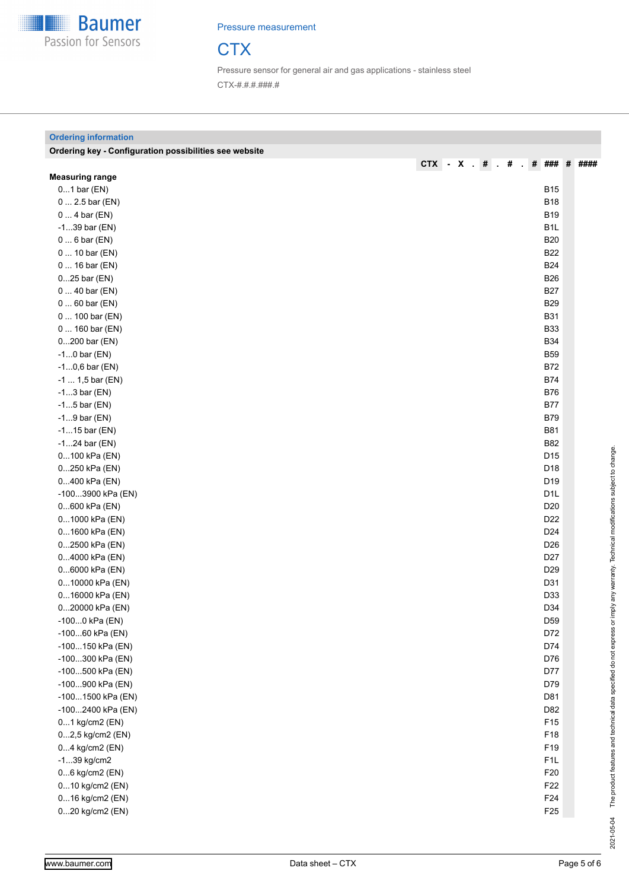

**Ordering information**

Pressure measurement



Pressure sensor for general air and gas applications - stainless steel CTX-#.#.#.###.#

## **Ordering key - Configuration possibilities see website CTX - X . # . # . # ### # #### Measuring range** 0...1 bar (EN) B15 0 ... 2.5 bar (EN) B18 0 ... 4 bar (EN) B19 -1...39 bar (EN) B1L 0 ... 6 bar (EN) B20 0 ... 10 bar (EN) B22 0 ... 16 bar (EN) B24 0...25 bar (EN) B26 0 ... 40 bar (EN) B27 0 ... 60 bar (EN) B29 0 ... 100 bar (EN) B31 0 ... 160 bar (EN) B33 0...200 bar (EN) B34 -1...0 bar (EN) B59 -1...0,6 bar (EN) B72 -1 ... 1.5 bar (EN) B74 -1...3 bar (EN) B76 -1...5 bar (EN) B77 -1...9 bar (EN) B79 -1...15 bar (EN) B81 -1...24 bar (EN) B82 0...100 kPa (EN) D15 0...250 kPa (EN) D18 0...400 kPa (EN) D19 -100...3900 kPa (EN) D1L 0...600 kPa (EN) D20 0...1000 kPa (EN) D22 0...1600 kPa (EN) D24 0...2500 kPa (EN) D26 0...4000 kPa (EN) D27 0...6000 kPa (EN) D29 0...10000 kPa (EN) D31 0...16000 kPa (EN) D33 0...20000 kPa (EN) D34 -100...0 kPa (EN) D59 -100...60 kPa (EN) D72 -100...150 kPa (EN) D74 -100...300 kPa (EN) D76 -100...500 kPa (EN) D77 -100...900 kPa (EN) D79 -100...1500 kPa (EN) D81 -100...2400 kPa (EN) D82 0...1 kg/cm2 (EN) F15 0...2,5 kg/cm2 (EN) F18  $0...4$  kg/cm2 (EN) F19 -1...39 kg/cm2 F1L 0...6 kg/cm2 (EN) F20 0...10 kg/cm2 (EN) F22 0...16 kg/cm2 (EN) F24 0...20 kg/cm2 (EN) F25